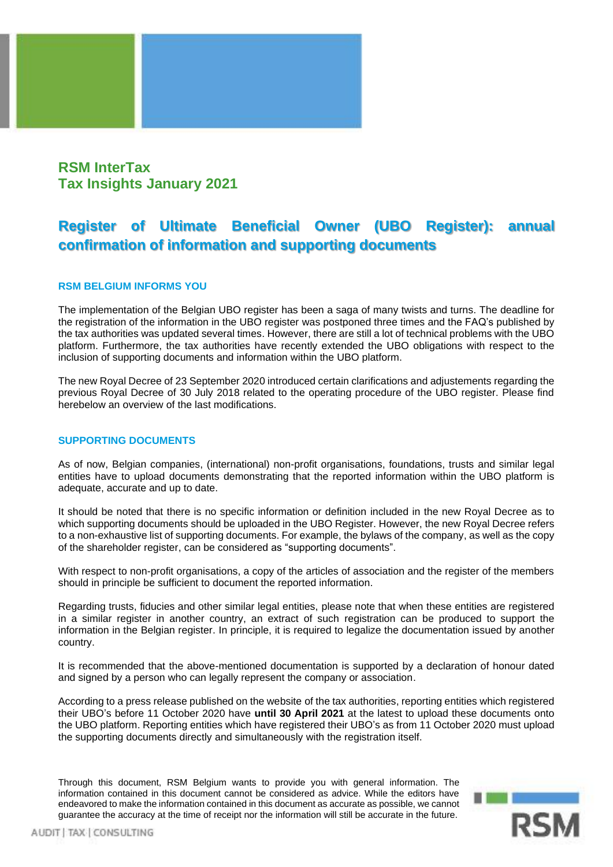## **RSM InterTax Tax Insights January 2021**

# **Register of Ultimate Beneficial Owner (UBO Register): annual confirmation of information and supporting documents**

### **RSM BELGIUM INFORMS YOU**

The implementation of the Belgian UBO register has been a saga of many twists and turns. The deadline for the registration of the information in the UBO register was postponed three times and the FAQ's published by the tax authorities was updated several times. However, there are still a lot of technical problems with the UBO platform. Furthermore, the tax authorities have recently extended the UBO obligations with respect to the inclusion of supporting documents and information within the UBO platform.

The new Royal Decree of 23 September 2020 introduced certain clarifications and adjustements regarding the previous Royal Decree of 30 July 2018 related to the operating procedure of the UBO register. Please find herebelow an overview of the last modifications.

#### **SUPPORTING DOCUMENTS**

As of now, Belgian companies, (international) non-profit organisations, foundations, trusts and similar legal entities have to upload documents demonstrating that the reported information within the UBO platform is adequate, accurate and up to date.

It should be noted that there is no specific information or definition included in the new Royal Decree as to which supporting documents should be uploaded in the UBO Register. However, the new Royal Decree refers to a non-exhaustive list of supporting documents. For example, the bylaws of the company, as well as the copy of the shareholder register, can be considered as "supporting documents".

With respect to non-profit organisations, a copy of the articles of association and the register of the members should in principle be sufficient to document the reported information.

Regarding trusts, fiducies and other similar legal entities, please note that when these entities are registered in a similar register in another country, an extract of such registration can be produced to support the information in the Belgian register. In principle, it is required to legalize the documentation issued by another country.

It is recommended that the above-mentioned documentation is supported by a declaration of honour dated and signed by a person who can legally represent the company or association.

According to a press release published on the website of the tax authorities, reporting entities which registered their UBO's before 11 October 2020 have **until 30 April 2021** at the latest to upload these documents onto the UBO platform. Reporting entities which have registered their UBO's as from 11 October 2020 must upload the supporting documents directly and simultaneously with the registration itself.

Through this document, RSM Belgium wants to provide you with general information. The information contained in this document cannot be considered as advice. While the editors have endeavored to make the information contained in this document as accurate as possible, we cannot guarantee the accuracy at the time of receipt nor the information will still be accurate in the future.